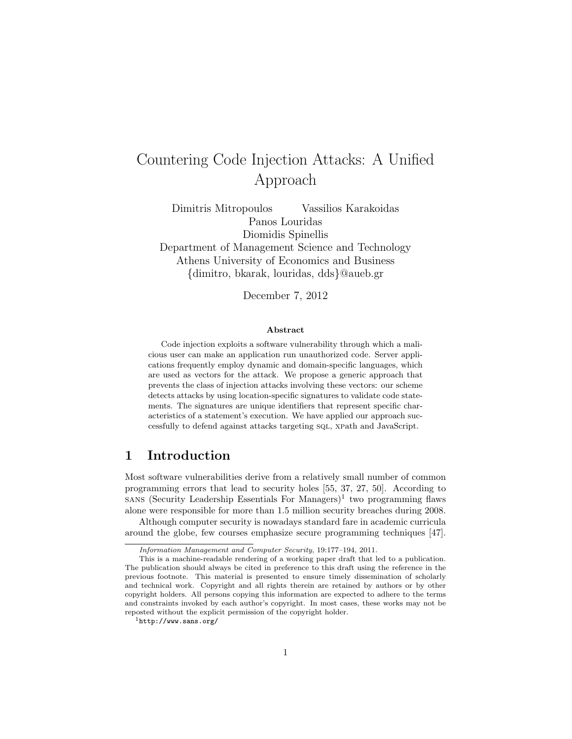# Countering Code Injection Attacks: A Unified Approach

Dimitris Mitropoulos Vassilios Karakoidas Panos Louridas Diomidis Spinellis Department of Management Science and Technology Athens University of Economics and Business {dimitro, bkarak, louridas, dds}@aueb.gr

December 7, 2012

#### Abstract

Code injection exploits a software vulnerability through which a malicious user can make an application run unauthorized code. Server applications frequently employ dynamic and domain-specific languages, which are used as vectors for the attack. We propose a generic approach that prevents the class of injection attacks involving these vectors: our scheme detects attacks by using location-specific signatures to validate code statements. The signatures are unique identifiers that represent specific characteristics of a statement's execution. We have applied our approach successfully to defend against attacks targeting sql, xpath and JavaScript.

### 1 Introduction

Most software vulnerabilities derive from a relatively small number of common programming errors that lead to security holes [55, 37, 27, 50]. According to  $s$ ANS (Security Leadership Essentials For Managers)<sup>1</sup> two programming flaws alone were responsible for more than 1.5 million security breaches during 2008.

Although computer security is nowadays standard fare in academic curricula around the globe, few courses emphasize secure programming techniques [47].

Information Management and Computer Security, 19:177–194, 2011.

This is a machine-readable rendering of a working paper draft that led to a publication. The publication should always be cited in preference to this draft using the reference in the previous footnote. This material is presented to ensure timely dissemination of scholarly and technical work. Copyright and all rights therein are retained by authors or by other copyright holders. All persons copying this information are expected to adhere to the terms and constraints invoked by each author's copyright. In most cases, these works may not be reposted without the explicit permission of the copyright holder.

 $1$ http://www.sans.org/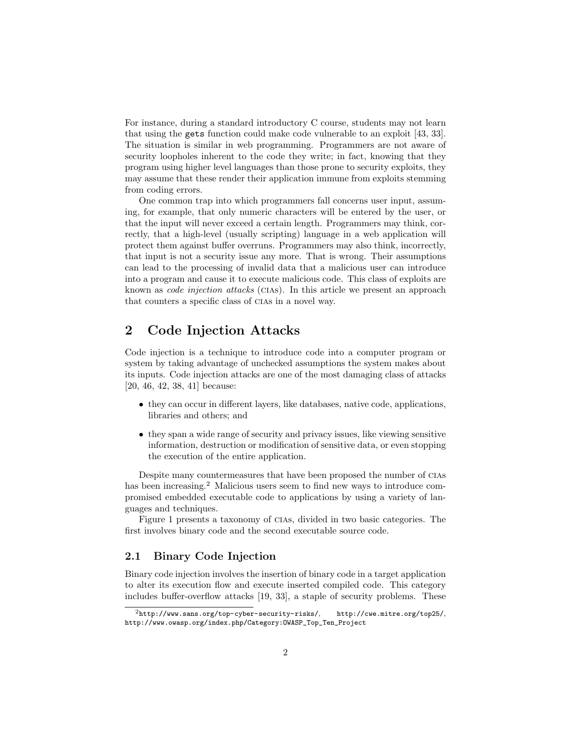For instance, during a standard introductory C course, students may not learn that using the gets function could make code vulnerable to an exploit [43, 33]. The situation is similar in web programming. Programmers are not aware of security loopholes inherent to the code they write; in fact, knowing that they program using higher level languages than those prone to security exploits, they may assume that these render their application immune from exploits stemming from coding errors.

One common trap into which programmers fall concerns user input, assuming, for example, that only numeric characters will be entered by the user, or that the input will never exceed a certain length. Programmers may think, correctly, that a high-level (usually scripting) language in a web application will protect them against buffer overruns. Programmers may also think, incorrectly, that input is not a security issue any more. That is wrong. Their assumptions can lead to the processing of invalid data that a malicious user can introduce into a program and cause it to execute malicious code. This class of exploits are known as code injection attacks (cias). In this article we present an approach that counters a specific class of cias in a novel way.

# 2 Code Injection Attacks

Code injection is a technique to introduce code into a computer program or system by taking advantage of unchecked assumptions the system makes about its inputs. Code injection attacks are one of the most damaging class of attacks [20, 46, 42, 38, 41] because:

- they can occur in different layers, like databases, native code, applications, libraries and others; and
- they span a wide range of security and privacy issues, like viewing sensitive information, destruction or modification of sensitive data, or even stopping the execution of the entire application.

Despite many countermeasures that have been proposed the number of cias has been increasing.<sup>2</sup> Malicious users seem to find new ways to introduce compromised embedded executable code to applications by using a variety of languages and techniques.

Figure 1 presents a taxonomy of cias, divided in two basic categories. The first involves binary code and the second executable source code.

### 2.1 Binary Code Injection

Binary code injection involves the insertion of binary code in a target application to alter its execution flow and execute inserted compiled code. This category includes buffer-overflow attacks [19, 33], a staple of security problems. These

<sup>2</sup>http://www.sans.org/top-cyber-security-risks/, http://cwe.mitre.org/top25/, http://www.owasp.org/index.php/Category:OWASP\_Top\_Ten\_Project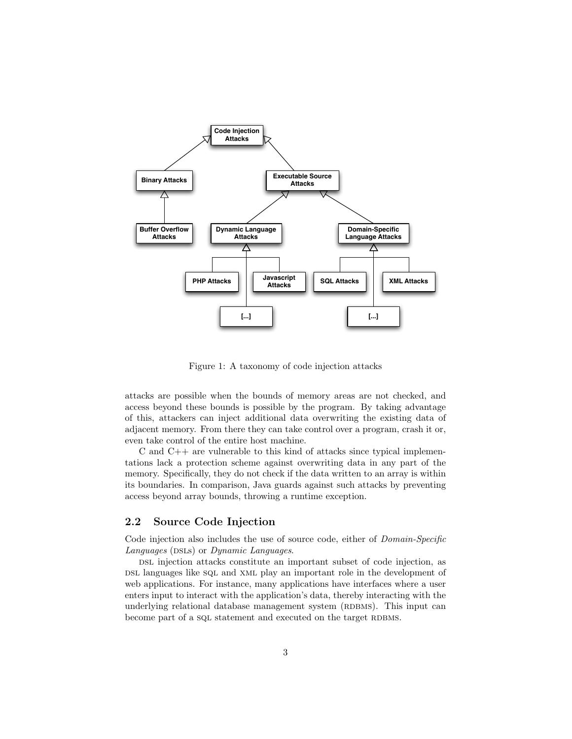

Figure 1: A taxonomy of code injection attacks

attacks are possible when the bounds of memory areas are not checked, and access beyond these bounds is possible by the program. By taking advantage of this, attackers can inject additional data overwriting the existing data of adjacent memory. From there they can take control over a program, crash it or, even take control of the entire host machine.

C and C++ are vulnerable to this kind of attacks since typical implementations lack a protection scheme against overwriting data in any part of the memory. Specifically, they do not check if the data written to an array is within its boundaries. In comparison, Java guards against such attacks by preventing access beyond array bounds, throwing a runtime exception.

### 2.2 Source Code Injection

Code injection also includes the use of source code, either of Domain-Specific Languages (DSLS) or Dynamic Languages.

DSL injection attacks constitute an important subset of code injection, as DSL languages like SQL and XML play an important role in the development of web applications. For instance, many applications have interfaces where a user enters input to interact with the application's data, thereby interacting with the underlying relational database management system (RDBMS). This input can become part of a sql statement and executed on the target RDBMS.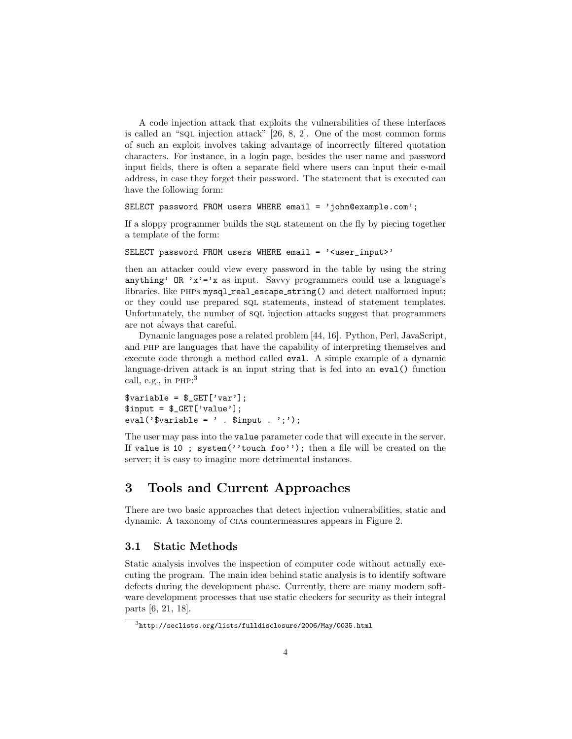A code injection attack that exploits the vulnerabilities of these interfaces is called an "sql injection attack" [26, 8, 2]. One of the most common forms of such an exploit involves taking advantage of incorrectly filtered quotation characters. For instance, in a login page, besides the user name and password input fields, there is often a separate field where users can input their e-mail address, in case they forget their password. The statement that is executed can have the following form:

SELECT password FROM users WHERE email = 'john@example.com';

If a sloppy programmer builds the sql statement on the fly by piecing together a template of the form:

SELECT password FROM users WHERE email = '<user\_input>'

then an attacker could view every password in the table by using the string anything' OR  $x' = x$  as input. Savvy programmers could use a language's libraries, like PHPs mysql\_real\_escape\_string() and detect malformed input; or they could use prepared sql statements, instead of statement templates. Unfortunately, the number of sql injection attacks suggest that programmers are not always that careful.

Dynamic languages pose a related problem [44, 16]. Python, Perl, JavaScript, and php are languages that have the capability of interpreting themselves and execute code through a method called eval. A simple example of a dynamic language-driven attack is an input string that is fed into an eval() function call, e.g., in php: 3

 $$variable = $GET['var']$ ;  $$input = $GET['value']$ ; eval(' $\text{variable} = \text{'}.$   $\text{input}$  . ';');

The user may pass into the value parameter code that will execute in the server. If value is 10; system(''touch foo''); then a file will be created on the server; it is easy to imagine more detrimental instances.

# 3 Tools and Current Approaches

There are two basic approaches that detect injection vulnerabilities, static and dynamic. A taxonomy of cias countermeasures appears in Figure 2.

### 3.1 Static Methods

Static analysis involves the inspection of computer code without actually executing the program. The main idea behind static analysis is to identify software defects during the development phase. Currently, there are many modern software development processes that use static checkers for security as their integral parts [6, 21, 18].

<sup>3</sup>http://seclists.org/lists/fulldisclosure/2006/May/0035.html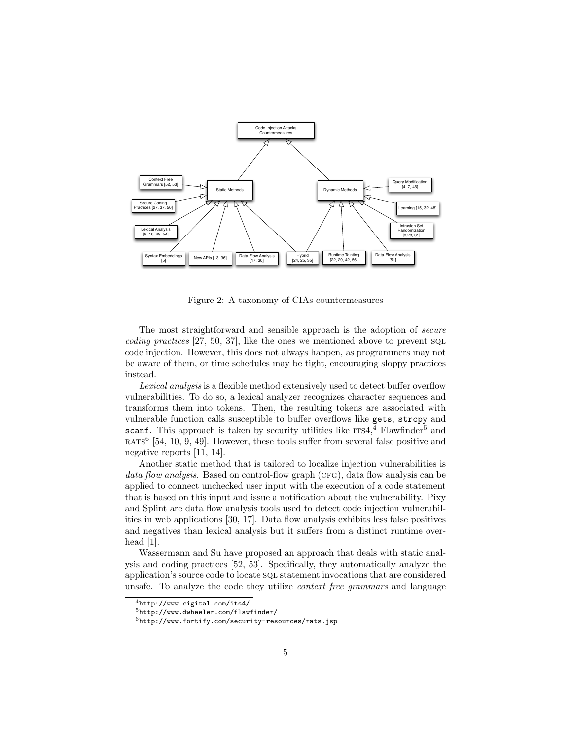

Figure 2: A taxonomy of CIAs countermeasures

The most straightforward and sensible approach is the adoption of secure coding practices  $[27, 50, 37]$ , like the ones we mentioned above to prevent  $SQL$ code injection. However, this does not always happen, as programmers may not be aware of them, or time schedules may be tight, encouraging sloppy practices instead.

Lexical analysis is a flexible method extensively used to detect buffer overflow vulnerabilities. To do so, a lexical analyzer recognizes character sequences and transforms them into tokens. Then, the resulting tokens are associated with vulnerable function calls susceptible to buffer overflows like gets, strcpy and scanf. This approach is taken by security utilities like  $\text{ITS4}$ ,  $\text{Flawfinder}^5$  and RATS<sup>6</sup> [54, 10, 9, 49]. However, these tools suffer from several false positive and negative reports [11, 14].

Another static method that is tailored to localize injection vulnerabilities is data flow analysis. Based on control-flow graph (CFG), data flow analysis can be applied to connect unchecked user input with the execution of a code statement that is based on this input and issue a notification about the vulnerability. Pixy and Splint are data flow analysis tools used to detect code injection vulnerabilities in web applications [30, 17]. Data flow analysis exhibits less false positives and negatives than lexical analysis but it suffers from a distinct runtime overhead [1].

Wassermann and Su have proposed an approach that deals with static analysis and coding practices [52, 53]. Specifically, they automatically analyze the application's source code to locate sql statement invocations that are considered unsafe. To analyze the code they utilize *context free grammars* and language

<sup>4</sup>http://www.cigital.com/its4/

<sup>5</sup>http://www.dwheeler.com/flawfinder/

 $6$ http://www.fortify.com/security-resources/rats.jsp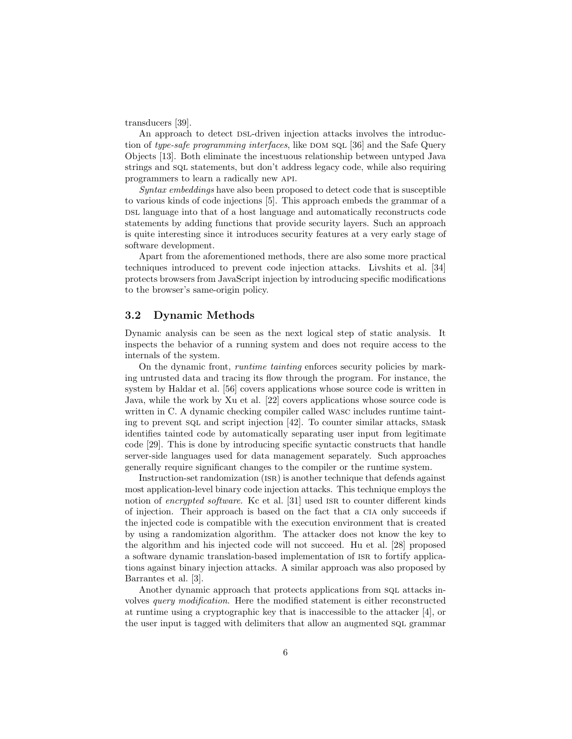transducers [39].

An approach to detect DSL-driven injection attacks involves the introduction of *type-safe programming interfaces*, like DOM SQL [36] and the Safe Query Objects [13]. Both eliminate the incestuous relationship between untyped Java strings and sql statements, but don't address legacy code, while also requiring programmers to learn a radically new api.

Syntax embeddings have also been proposed to detect code that is susceptible to various kinds of code injections [5]. This approach embeds the grammar of a DSL language into that of a host language and automatically reconstructs code statements by adding functions that provide security layers. Such an approach is quite interesting since it introduces security features at a very early stage of software development.

Apart from the aforementioned methods, there are also some more practical techniques introduced to prevent code injection attacks. Livshits et al. [34] protects browsers from JavaScript injection by introducing specific modifications to the browser's same-origin policy.

### 3.2 Dynamic Methods

Dynamic analysis can be seen as the next logical step of static analysis. It inspects the behavior of a running system and does not require access to the internals of the system.

On the dynamic front, runtime tainting enforces security policies by marking untrusted data and tracing its flow through the program. For instance, the system by Haldar et al. [56] covers applications whose source code is written in Java, while the work by Xu et al. [22] covers applications whose source code is written in C. A dynamic checking compiler called wasc includes runtime tainting to prevent sql and script injection [42]. To counter similar attacks, smask identifies tainted code by automatically separating user input from legitimate code [29]. This is done by introducing specific syntactic constructs that handle server-side languages used for data management separately. Such approaches generally require significant changes to the compiler or the runtime system.

Instruction-set randomization (isr) is another technique that defends against most application-level binary code injection attacks. This technique employs the notion of *encrypted software*. Kc et al. [31] used ISR to counter different kinds of injection. Their approach is based on the fact that a cia only succeeds if the injected code is compatible with the execution environment that is created by using a randomization algorithm. The attacker does not know the key to the algorithm and his injected code will not succeed. Hu et al. [28] proposed a software dynamic translation-based implementation of isr to fortify applications against binary injection attacks. A similar approach was also proposed by Barrantes et al. [3].

Another dynamic approach that protects applications from sql attacks involves query modification. Here the modified statement is either reconstructed at runtime using a cryptographic key that is inaccessible to the attacker [4], or the user input is tagged with delimiters that allow an augmented SQL grammar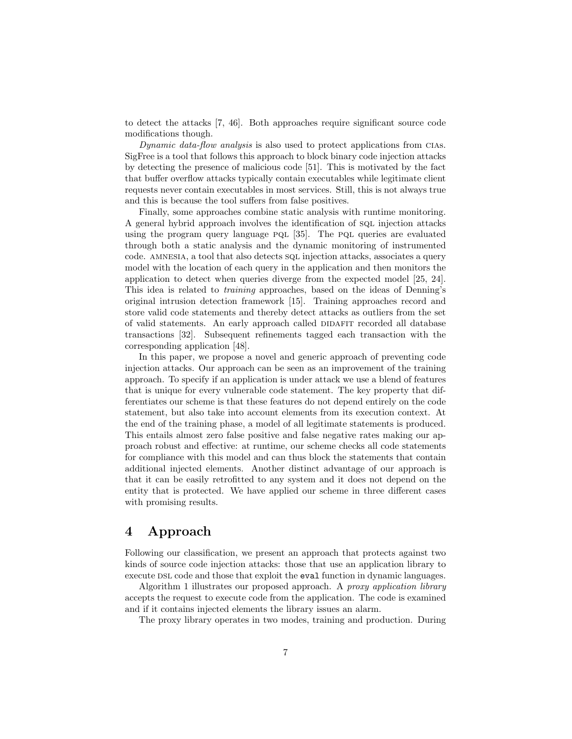to detect the attacks [7, 46]. Both approaches require significant source code modifications though.

Dynamic data-flow analysis is also used to protect applications from CIAS. SigFree is a tool that follows this approach to block binary code injection attacks by detecting the presence of malicious code [51]. This is motivated by the fact that buffer overflow attacks typically contain executables while legitimate client requests never contain executables in most services. Still, this is not always true and this is because the tool suffers from false positives.

Finally, some approaches combine static analysis with runtime monitoring. A general hybrid approach involves the identification of sql injection attacks using the program query language pql [35]. The pql queries are evaluated through both a static analysis and the dynamic monitoring of instrumented code. amnesia, a tool that also detects sql injection attacks, associates a query model with the location of each query in the application and then monitors the application to detect when queries diverge from the expected model [25, 24]. This idea is related to training approaches, based on the ideas of Denning's original intrusion detection framework [15]. Training approaches record and store valid code statements and thereby detect attacks as outliers from the set of valid statements. An early approach called DIDAFIT recorded all database transactions [32]. Subsequent refinements tagged each transaction with the corresponding application [48].

In this paper, we propose a novel and generic approach of preventing code injection attacks. Our approach can be seen as an improvement of the training approach. To specify if an application is under attack we use a blend of features that is unique for every vulnerable code statement. The key property that differentiates our scheme is that these features do not depend entirely on the code statement, but also take into account elements from its execution context. At the end of the training phase, a model of all legitimate statements is produced. This entails almost zero false positive and false negative rates making our approach robust and effective: at runtime, our scheme checks all code statements for compliance with this model and can thus block the statements that contain additional injected elements. Another distinct advantage of our approach is that it can be easily retrofitted to any system and it does not depend on the entity that is protected. We have applied our scheme in three different cases with promising results.

### 4 Approach

Following our classification, we present an approach that protects against two kinds of source code injection attacks: those that use an application library to execute DSL code and those that exploit the eval function in dynamic languages.

Algorithm 1 illustrates our proposed approach. A proxy application library accepts the request to execute code from the application. The code is examined and if it contains injected elements the library issues an alarm.

The proxy library operates in two modes, training and production. During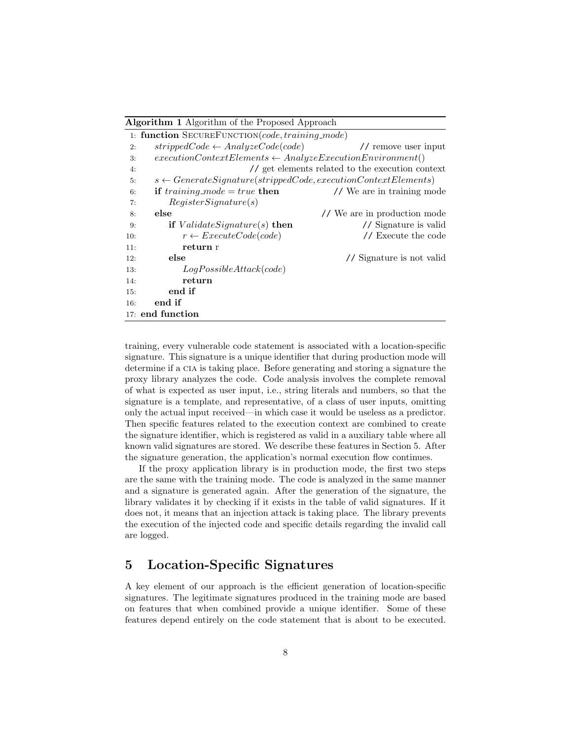Algorithm 1 Algorithm of the Proposed Approach

| 1: function SECUREFUNCTION(code, training_mode) |                                                                                  |                                                  |  |
|-------------------------------------------------|----------------------------------------------------------------------------------|--------------------------------------------------|--|
| 2:                                              | $strippedCode \leftarrow AnalyzeCode(code)$                                      | // remove user input                             |  |
| 3:                                              | $executionContextElements \leftarrow AnalyzeExecutionEnvironment()$              |                                                  |  |
| 4:                                              |                                                                                  | // get elements related to the execution context |  |
| 5:                                              | $s \leftarrow Generate Signature(\text{strippedCode}, executionContextElements)$ |                                                  |  |
| 6:                                              | if training_mode = true then                                                     | // We are in training mode                       |  |
| 7:                                              | Register Signature(s)                                                            |                                                  |  |
| 8:                                              | else                                                                             | // We are in production mode                     |  |
| 9:                                              | if $Validate Signature(s)$ then                                                  | // Signature is valid                            |  |
| 10:                                             | $r \leftarrow ExecutiveCode(code)$                                               | // Execute the code                              |  |
| 11:                                             | return r                                                                         |                                                  |  |
| 12:                                             | else                                                                             | // Signature is not valid                        |  |
| 13:                                             | LogPossibleAttack(code)                                                          |                                                  |  |
| 14:                                             | return                                                                           |                                                  |  |
| 15:                                             | end if                                                                           |                                                  |  |
| 16:                                             | end if                                                                           |                                                  |  |
|                                                 | 17: end function                                                                 |                                                  |  |

training, every vulnerable code statement is associated with a location-specific signature. This signature is a unique identifier that during production mode will determine if a CIA is taking place. Before generating and storing a signature the proxy library analyzes the code. Code analysis involves the complete removal of what is expected as user input, i.e., string literals and numbers, so that the signature is a template, and representative, of a class of user inputs, omitting only the actual input received—in which case it would be useless as a predictor. Then specific features related to the execution context are combined to create the signature identifier, which is registered as valid in a auxiliary table where all known valid signatures are stored. We describe these features in Section 5. After the signature generation, the application's normal execution flow continues.

If the proxy application library is in production mode, the first two steps are the same with the training mode. The code is analyzed in the same manner and a signature is generated again. After the generation of the signature, the library validates it by checking if it exists in the table of valid signatures. If it does not, it means that an injection attack is taking place. The library prevents the execution of the injected code and specific details regarding the invalid call are logged.

# 5 Location-Specific Signatures

A key element of our approach is the efficient generation of location-specific signatures. The legitimate signatures produced in the training mode are based on features that when combined provide a unique identifier. Some of these features depend entirely on the code statement that is about to be executed.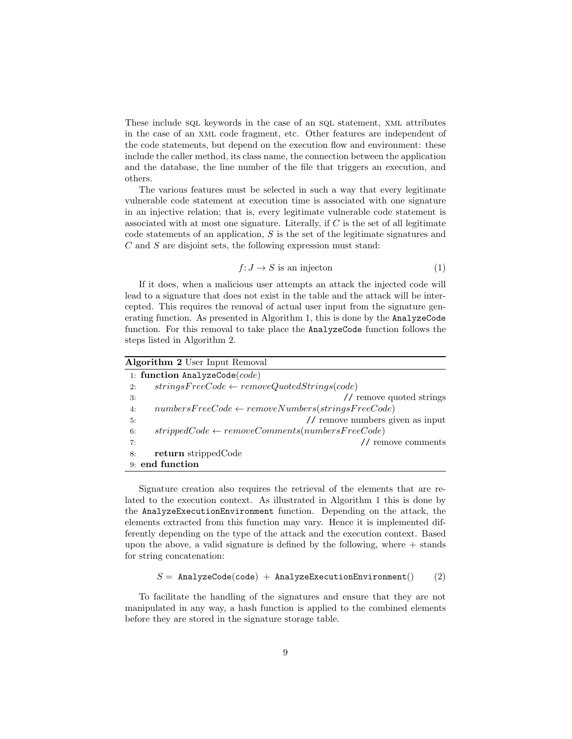These include sql keywords in the case of an sql statement, xml attributes in the case of an xml code fragment, etc. Other features are independent of the code statements, but depend on the execution flow and environment: these include the caller method, its class name, the connection between the application and the database, the line number of the file that triggers an execution, and others.

The various features must be selected in such a way that every legitimate vulnerable code statement at execution time is associated with one signature in an injective relation; that is, every legitimate vulnerable code statement is associated with at most one signature. Literally, if  $C$  is the set of all legitimate code statements of an application, S is the set of the legitimate signatures and  $C$  and  $S$  are disjoint sets, the following expression must stand:

$$
f: J \to S \text{ is an injection} \tag{1}
$$

If it does, when a malicious user attempts an attack the injected code will lead to a signature that does not exist in the table and the attack will be intercepted. This requires the removal of actual user input from the signature generating function. As presented in Algorithm 1, this is done by the AnalyzeCode function. For this removal to take place the AnalyzeCode function follows the steps listed in Algorithm 2.

| Algorithm 2 User Input Removal                                    |  |  |  |
|-------------------------------------------------------------------|--|--|--|
| 1: function AnalyzeCode( $code)$                                  |  |  |  |
| $stringsFreeCode \leftarrow removeQuotedStrings(code)$<br>2:      |  |  |  |
| // remove quoted strings<br>3:                                    |  |  |  |
| $numbersFreeCode \leftarrow removeNumbers(stringsFreeCode)$<br>4: |  |  |  |
| // remove numbers given as input<br>5:                            |  |  |  |
| $strippedCode \leftarrow removeComments(numbersFreeCode)$<br>6:   |  |  |  |
| $\frac{1}{\sqrt{2}}$ remove comments<br>7:                        |  |  |  |
| return strippedCode<br>8:                                         |  |  |  |
| 9: end function                                                   |  |  |  |

Signature creation also requires the retrieval of the elements that are related to the execution context. As illustrated in Algorithm 1 this is done by the AnalyzeExecutionEnvironment function. Depending on the attack, the elements extracted from this function may vary. Hence it is implemented differently depending on the type of the attack and the execution context. Based upon the above, a valid signature is defined by the following, where  $+$  stands for string concatenation:

```
S = AnalyzeCode(code) + AnalyzeExecutionEnvironment() (2)
```
To facilitate the handling of the signatures and ensure that they are not manipulated in any way, a hash function is applied to the combined elements before they are stored in the signature storage table.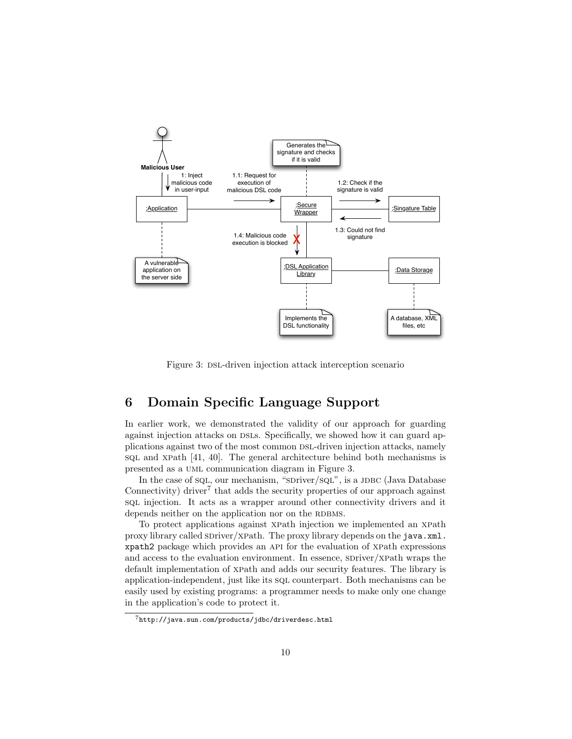

Figure 3: DSL-driven injection attack interception scenario

# 6 Domain Specific Language Support

In earlier work, we demonstrated the validity of our approach for guarding against injection attacks on DSLs. Specifically, we showed how it can guard applications against two of the most common DSL-driven injection attacks, namely sql and xpath [41, 40]. The general architecture behind both mechanisms is presented as a uml communication diagram in Figure 3.

In the case of sql, our mechanism, "SDriver/sql", is a JDBC (Java Database Connectivity) driver<sup>7</sup> that adds the security properties of our approach against sql injection. It acts as a wrapper around other connectivity drivers and it depends neither on the application nor on the RDBMS.

To protect applications against xpath injection we implemented an xpath proxy library called  $\text{3}$ Driver/xpath. The proxy library depends on the java.xml. xpath2 package which provides an api for the evaluation of xpath expressions and access to the evaluation environment. In essence,  $SDriver/XPath$  wraps the default implementation of xpath and adds our security features. The library is application-independent, just like its sql counterpart. Both mechanisms can be easily used by existing programs: a programmer needs to make only one change in the application's code to protect it.

<sup>7</sup>http://java.sun.com/products/jdbc/driverdesc.html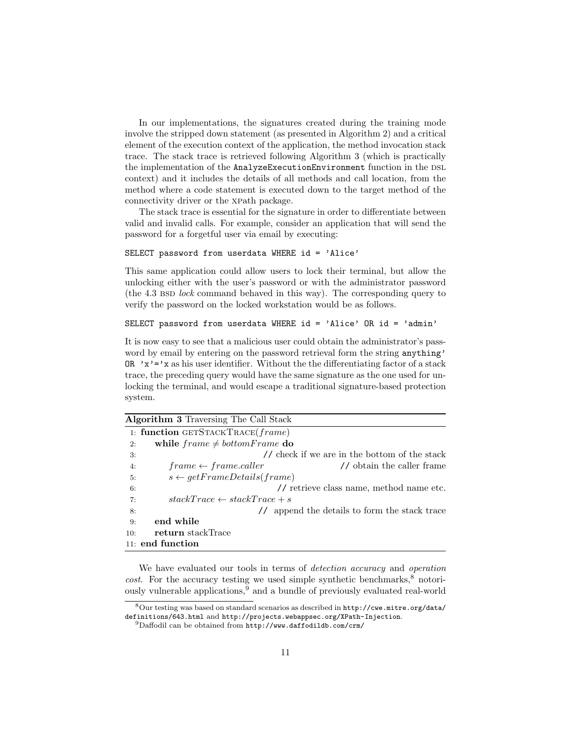In our implementations, the signatures created during the training mode involve the stripped down statement (as presented in Algorithm 2) and a critical element of the execution context of the application, the method invocation stack trace. The stack trace is retrieved following Algorithm 3 (which is practically the implementation of the AnalyzeExecutionEnvironment function in the DSL context) and it includes the details of all methods and call location, from the method where a code statement is executed down to the target method of the connectivity driver or the xpath package.

The stack trace is essential for the signature in order to differentiate between valid and invalid calls. For example, consider an application that will send the password for a forgetful user via email by executing:

#### SELECT password from userdata WHERE id = 'Alice'

This same application could allow users to lock their terminal, but allow the unlocking either with the user's password or with the administrator password (the 4.3  $\text{BSD}$  lock command behaved in this way). The corresponding query to verify the password on the locked workstation would be as follows.

### SELECT password from userdata WHERE id = 'Alice' OR id = 'admin'

It is now easy to see that a malicious user could obtain the administrator's password by email by entering on the password retrieval form the string anything' OR  $x' = x'$  as his user identifier. Without the the differentiating factor of a stack trace, the preceding query would have the same signature as the one used for unlocking the terminal, and would escape a traditional signature-based protection system.

| <b>Algorithm 3</b> Traversing The Call Stack                                   |  |  |
|--------------------------------------------------------------------------------|--|--|
| 1: function GETSTACKTRACE(frame)                                               |  |  |
| while $frame \neq bottomFrame$ do<br>2:                                        |  |  |
| // check if we are in the bottom of the stack<br>3:                            |  |  |
| // obtain the caller frame<br>$frame \leftarrow frame \textit{.} caller$<br>4: |  |  |
| $s \leftarrow getFrameDetails(from)$<br>5:                                     |  |  |
| // retrieve class name, method name etc.<br>6:                                 |  |  |
| $stackTrace \leftarrow stackTrace + s$<br>7:                                   |  |  |
| // append the details to form the stack trace<br>8:                            |  |  |
| end while<br>9:                                                                |  |  |
| return stackTrace<br>10:                                                       |  |  |
| $11:$ end function                                                             |  |  |

We have evaluated our tools in terms of *detection accuracy* and *operation*  $cost.$  For the accuracy testing we used simple synthetic benchmarks, $8$  notoriously vulnerable applications,<sup>9</sup> and a bundle of previously evaluated real-world

<sup>8</sup>Our testing was based on standard scenarios as described in http://cwe.mitre.org/data/ definitions/643.html and http://projects.webappsec.org/XPath-Injection.

 $^{9}$ Daffodil can be obtained from  $\texttt{http://www.daffodildb.com/cm/}$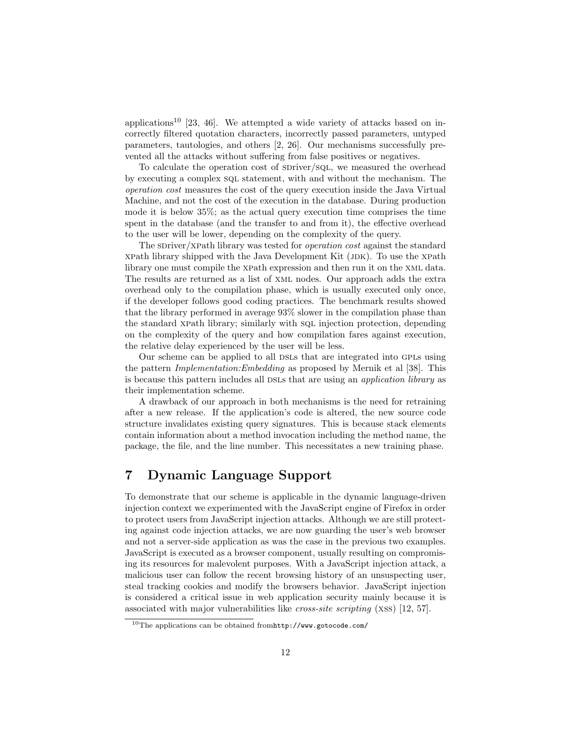applications<sup>10</sup> [23, 46]. We attempted a wide variety of attacks based on incorrectly filtered quotation characters, incorrectly passed parameters, untyped parameters, tautologies, and others [2, 26]. Our mechanisms successfully prevented all the attacks without suffering from false positives or negatives.

To calculate the operation cost of spriver/sql, we measured the overhead by executing a complex sql statement, with and without the mechanism. The operation cost measures the cost of the query execution inside the Java Virtual Machine, and not the cost of the execution in the database. During production mode it is below 35%; as the actual query execution time comprises the time spent in the database (and the transfer to and from it), the effective overhead to the user will be lower, depending on the complexity of the query.

The spriver/ $X$ Path library was tested for *operation cost* against the standard xpath library shipped with the Java Development Kit (JDK). To use the xpath library one must compile the xpath expression and then run it on the xml data. The results are returned as a list of xml nodes. Our approach adds the extra overhead only to the compilation phase, which is usually executed only once, if the developer follows good coding practices. The benchmark results showed that the library performed in average 93% slower in the compilation phase than the standard XPath library; similarly with SQL injection protection, depending on the complexity of the query and how compilation fares against execution, the relative delay experienced by the user will be less.

Our scheme can be applied to all DSLs that are integrated into GPLs using the pattern Implementation:Embedding as proposed by Mernik et al [38]. This is because this pattern includes all DSLs that are using an *application library* as their implementation scheme.

A drawback of our approach in both mechanisms is the need for retraining after a new release. If the application's code is altered, the new source code structure invalidates existing query signatures. This is because stack elements contain information about a method invocation including the method name, the package, the file, and the line number. This necessitates a new training phase.

# 7 Dynamic Language Support

To demonstrate that our scheme is applicable in the dynamic language-driven injection context we experimented with the JavaScript engine of Firefox in order to protect users from JavaScript injection attacks. Although we are still protecting against code injection attacks, we are now guarding the user's web browser and not a server-side application as was the case in the previous two examples. JavaScript is executed as a browser component, usually resulting on compromising its resources for malevolent purposes. With a JavaScript injection attack, a malicious user can follow the recent browsing history of an unsuspecting user, steal tracking cookies and modify the browsers behavior. JavaScript injection is considered a critical issue in web application security mainly because it is associated with major vulnerabilities like cross-site scripting (xss) [12, 57].

<sup>10</sup>The applications can be obtained fromhttp://www.gotocode.com/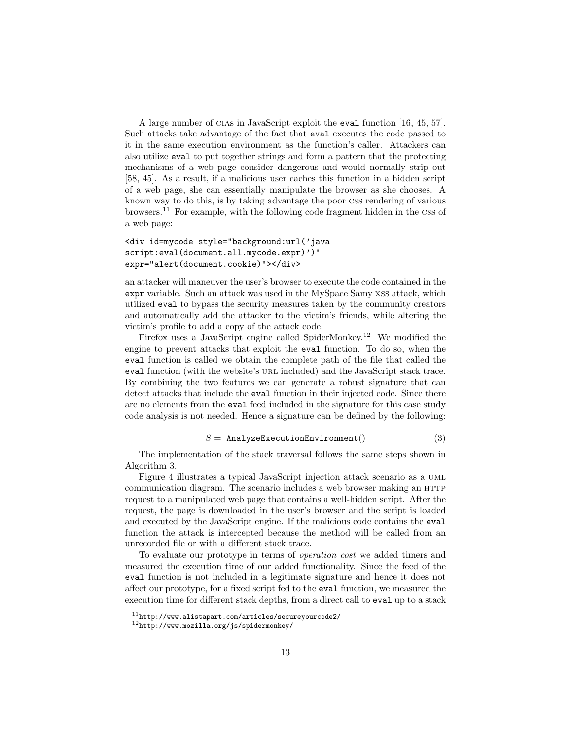A large number of cias in JavaScript exploit the eval function [16, 45, 57]. Such attacks take advantage of the fact that eval executes the code passed to it in the same execution environment as the function's caller. Attackers can also utilize eval to put together strings and form a pattern that the protecting mechanisms of a web page consider dangerous and would normally strip out [58, 45]. As a result, if a malicious user caches this function in a hidden script of a web page, she can essentially manipulate the browser as she chooses. A known way to do this, is by taking advantage the poor css rendering of various browsers.<sup>11</sup> For example, with the following code fragment hidden in the css of a web page:

```
<div id=mycode style="background:url('java
script:eval(document.all.mycode.expr)')"
expr="alert(document.cookie)"></div>
```
an attacker will maneuver the user's browser to execute the code contained in the expr variable. Such an attack was used in the MySpace Samy xss attack, which utilized eval to bypass the security measures taken by the community creators and automatically add the attacker to the victim's friends, while altering the victim's profile to add a copy of the attack code.

Firefox uses a JavaScript engine called SpiderMonkey.<sup>12</sup> We modified the engine to prevent attacks that exploit the eval function. To do so, when the eval function is called we obtain the complete path of the file that called the eval function (with the website's URL included) and the JavaScript stack trace. By combining the two features we can generate a robust signature that can detect attacks that include the eval function in their injected code. Since there are no elements from the eval feed included in the signature for this case study code analysis is not needed. Hence a signature can be defined by the following:

$$
S = \texttt{AnalyzeExecutionEnvironment}() \tag{3}
$$

The implementation of the stack traversal follows the same steps shown in Algorithm 3.

Figure 4 illustrates a typical JavaScript injection attack scenario as a uml communication diagram. The scenario includes a web browser making an HTTP request to a manipulated web page that contains a well-hidden script. After the request, the page is downloaded in the user's browser and the script is loaded and executed by the JavaScript engine. If the malicious code contains the eval function the attack is intercepted because the method will be called from an unrecorded file or with a different stack trace.

To evaluate our prototype in terms of operation cost we added timers and measured the execution time of our added functionality. Since the feed of the eval function is not included in a legitimate signature and hence it does not affect our prototype, for a fixed script fed to the eval function, we measured the execution time for different stack depths, from a direct call to eval up to a stack

<sup>11</sup>http://www.alistapart.com/articles/secureyourcode2/

<sup>12</sup>http://www.mozilla.org/js/spidermonkey/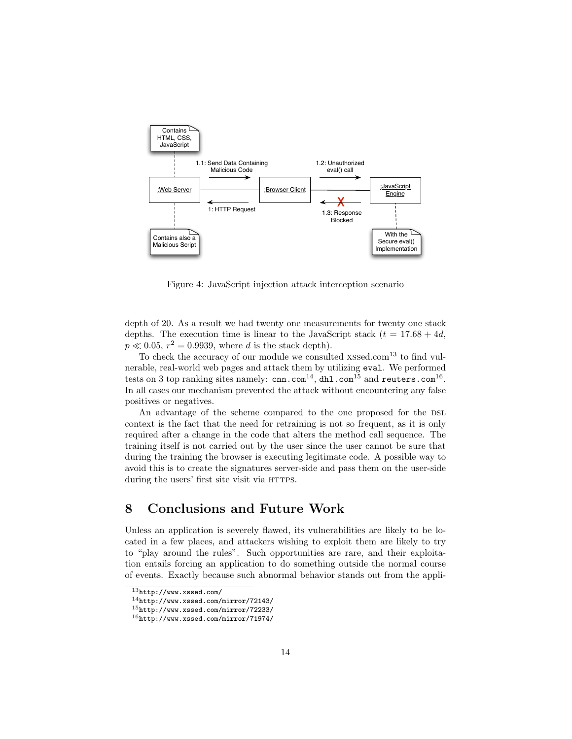

Figure 4: JavaScript injection attack interception scenario

depth of 20. As a result we had twenty one measurements for twenty one stack depths. The execution time is linear to the JavaScript stack  $(t = 17.68 + 4d,$  $p \ll 0.05$ ,  $r^2 = 0.9939$ , where d is the stack depth).

To check the accuracy of our module we consulted  $x$ ssed.com<sup>13</sup> to find vulnerable, real-world web pages and attack them by utilizing eval. We performed tests on 3 top ranking sites namely:  ${\tt cm.com^{14}}, {\tt dhl.com^{15}}$  and  ${\tt reuters.com^{16}}.$ In all cases our mechanism prevented the attack without encountering any false positives or negatives.

An advantage of the scheme compared to the one proposed for the DSL context is the fact that the need for retraining is not so frequent, as it is only required after a change in the code that alters the method call sequence. The training itself is not carried out by the user since the user cannot be sure that during the training the browser is executing legitimate code. A possible way to avoid this is to create the signatures server-side and pass them on the user-side during the users' first site visit via HTTPS.

### 8 Conclusions and Future Work

Unless an application is severely flawed, its vulnerabilities are likely to be located in a few places, and attackers wishing to exploit them are likely to try to "play around the rules". Such opportunities are rare, and their exploitation entails forcing an application to do something outside the normal course of events. Exactly because such abnormal behavior stands out from the appli-

<sup>13</sup>http://www.xssed.com/

<sup>14</sup>http://www.xssed.com/mirror/72143/

<sup>15</sup>http://www.xssed.com/mirror/72233/

<sup>16</sup>http://www.xssed.com/mirror/71974/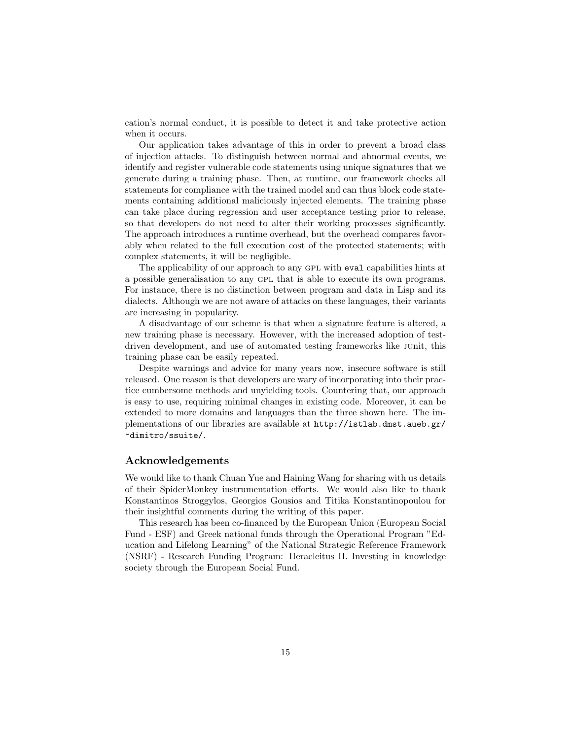cation's normal conduct, it is possible to detect it and take protective action when it occurs.

Our application takes advantage of this in order to prevent a broad class of injection attacks. To distinguish between normal and abnormal events, we identify and register vulnerable code statements using unique signatures that we generate during a training phase. Then, at runtime, our framework checks all statements for compliance with the trained model and can thus block code statements containing additional maliciously injected elements. The training phase can take place during regression and user acceptance testing prior to release, so that developers do not need to alter their working processes significantly. The approach introduces a runtime overhead, but the overhead compares favorably when related to the full execution cost of the protected statements; with complex statements, it will be negligible.

The applicability of our approach to any GPL with eval capabilities hints at a possible generalisation to any gpl that is able to execute its own programs. For instance, there is no distinction between program and data in Lisp and its dialects. Although we are not aware of attacks on these languages, their variants are increasing in popularity.

A disadvantage of our scheme is that when a signature feature is altered, a new training phase is necessary. However, with the increased adoption of testdriven development, and use of automated testing frameworks like junit, this training phase can be easily repeated.

Despite warnings and advice for many years now, insecure software is still released. One reason is that developers are wary of incorporating into their practice cumbersome methods and unyielding tools. Countering that, our approach is easy to use, requiring minimal changes in existing code. Moreover, it can be extended to more domains and languages than the three shown here. The implementations of our libraries are available at http://istlab.dmst.aueb.gr/ ~dimitro/ssuite/.

### Acknowledgements

We would like to thank Chuan Yue and Haining Wang for sharing with us details of their SpiderMonkey instrumentation efforts. We would also like to thank Konstantinos Stroggylos, Georgios Gousios and Titika Konstantinopoulou for their insightful comments during the writing of this paper.

This research has been co-financed by the European Union (European Social Fund - ESF) and Greek national funds through the Operational Program "Education and Lifelong Learning" of the National Strategic Reference Framework (NSRF) - Research Funding Program: Heracleitus II. Investing in knowledge society through the European Social Fund.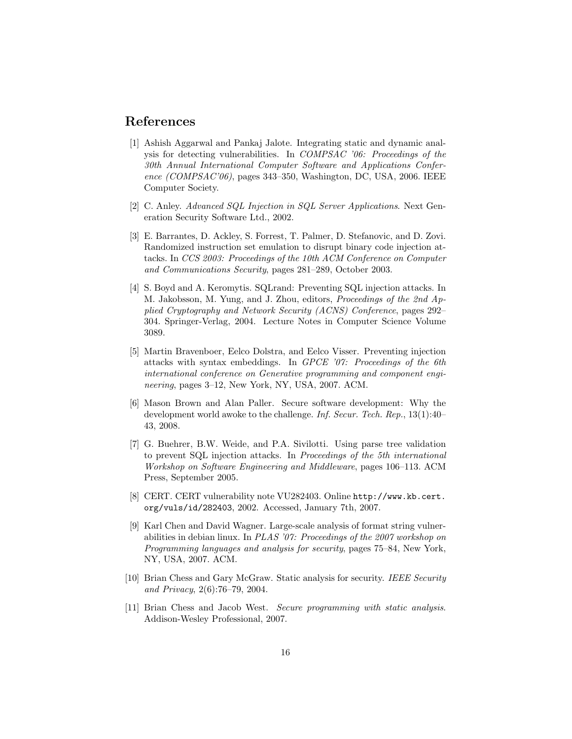### References

- [1] Ashish Aggarwal and Pankaj Jalote. Integrating static and dynamic analysis for detecting vulnerabilities. In COMPSAC '06: Proceedings of the 30th Annual International Computer Software and Applications Conference (COMPSAC'06), pages 343–350, Washington, DC, USA, 2006. IEEE Computer Society.
- [2] C. Anley. Advanced SQL Injection in SQL Server Applications. Next Generation Security Software Ltd., 2002.
- [3] E. Barrantes, D. Ackley, S. Forrest, T. Palmer, D. Stefanovic, and D. Zovi. Randomized instruction set emulation to disrupt binary code injection attacks. In CCS 2003: Proceedings of the 10th ACM Conference on Computer and Communications Security, pages 281–289, October 2003.
- [4] S. Boyd and A. Keromytis. SQLrand: Preventing SQL injection attacks. In M. Jakobsson, M. Yung, and J. Zhou, editors, Proceedings of the 2nd Applied Cryptography and Network Security (ACNS) Conference, pages 292– 304. Springer-Verlag, 2004. Lecture Notes in Computer Science Volume 3089.
- [5] Martin Bravenboer, Eelco Dolstra, and Eelco Visser. Preventing injection attacks with syntax embeddings. In GPCE  $'0\%$ : Proceedings of the 6th international conference on Generative programming and component engineering, pages 3–12, New York, NY, USA, 2007. ACM.
- [6] Mason Brown and Alan Paller. Secure software development: Why the development world awoke to the challenge. *Inf. Secur. Tech. Rep.*, 13(1):40– 43, 2008.
- [7] G. Buehrer, B.W. Weide, and P.A. Sivilotti. Using parse tree validation to prevent SQL injection attacks. In Proceedings of the 5th international Workshop on Software Engineering and Middleware, pages 106–113. ACM Press, September 2005.
- [8] CERT. CERT vulnerability note VU282403. Online http://www.kb.cert. org/vuls/id/282403, 2002. Accessed, January 7th, 2007.
- [9] Karl Chen and David Wagner. Large-scale analysis of format string vulnerabilities in debian linux. In PLAS '07: Proceedings of the 2007 workshop on Programming languages and analysis for security, pages 75–84, New York, NY, USA, 2007. ACM.
- [10] Brian Chess and Gary McGraw. Static analysis for security. IEEE Security and Privacy, 2(6):76–79, 2004.
- [11] Brian Chess and Jacob West. Secure programming with static analysis. Addison-Wesley Professional, 2007.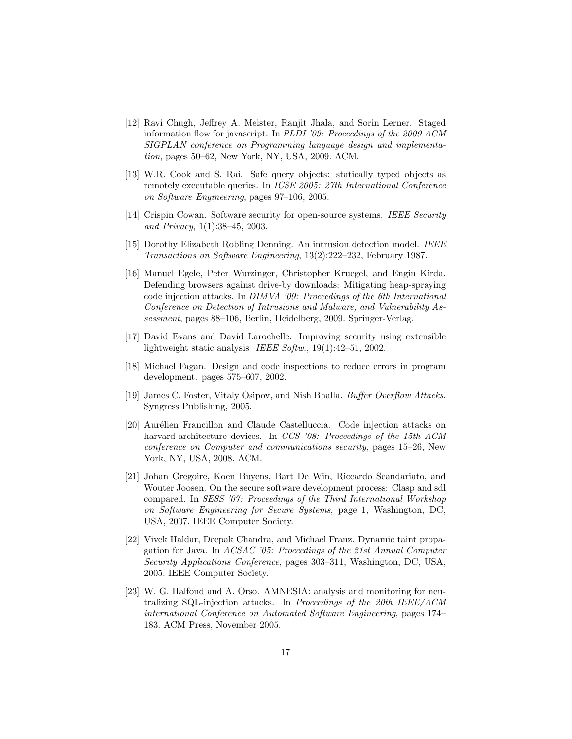- [12] Ravi Chugh, Jeffrey A. Meister, Ranjit Jhala, and Sorin Lerner. Staged information flow for javascript. In PLDI '09: Proceedings of the 2009 ACM SIGPLAN conference on Programming language design and implementation, pages 50–62, New York, NY, USA, 2009. ACM.
- [13] W.R. Cook and S. Rai. Safe query objects: statically typed objects as remotely executable queries. In ICSE 2005: 27th International Conference on Software Engineering, pages 97–106, 2005.
- [14] Crispin Cowan. Software security for open-source systems. IEEE Security and Privacy, 1(1):38–45, 2003.
- [15] Dorothy Elizabeth Robling Denning. An intrusion detection model. IEEE Transactions on Software Engineering, 13(2):222–232, February 1987.
- [16] Manuel Egele, Peter Wurzinger, Christopher Kruegel, and Engin Kirda. Defending browsers against drive-by downloads: Mitigating heap-spraying code injection attacks. In DIMVA '09: Proceedings of the 6th International Conference on Detection of Intrusions and Malware, and Vulnerability Assessment, pages 88–106, Berlin, Heidelberg, 2009. Springer-Verlag.
- [17] David Evans and David Larochelle. Improving security using extensible lightweight static analysis. IEEE Softw., 19(1):42-51, 2002.
- [18] Michael Fagan. Design and code inspections to reduce errors in program development. pages 575–607, 2002.
- [19] James C. Foster, Vitaly Osipov, and Nish Bhalla. Buffer Overflow Attacks. Syngress Publishing, 2005.
- [20] Aurélien Francillon and Claude Castelluccia. Code injection attacks on harvard-architecture devices. In CCS '08: Proceedings of the 15th ACM conference on Computer and communications security, pages 15–26, New York, NY, USA, 2008. ACM.
- [21] Johan Gregoire, Koen Buyens, Bart De Win, Riccardo Scandariato, and Wouter Joosen. On the secure software development process: Clasp and sdl compared. In SESS '07: Proceedings of the Third International Workshop on Software Engineering for Secure Systems, page 1, Washington, DC, USA, 2007. IEEE Computer Society.
- [22] Vivek Haldar, Deepak Chandra, and Michael Franz. Dynamic taint propagation for Java. In ACSAC '05: Proceedings of the 21st Annual Computer Security Applications Conference, pages 303–311, Washington, DC, USA, 2005. IEEE Computer Society.
- [23] W. G. Halfond and A. Orso. AMNESIA: analysis and monitoring for neutralizing SQL-injection attacks. In Proceedings of the 20th IEEE/ACM international Conference on Automated Software Engineering, pages 174– 183. ACM Press, November 2005.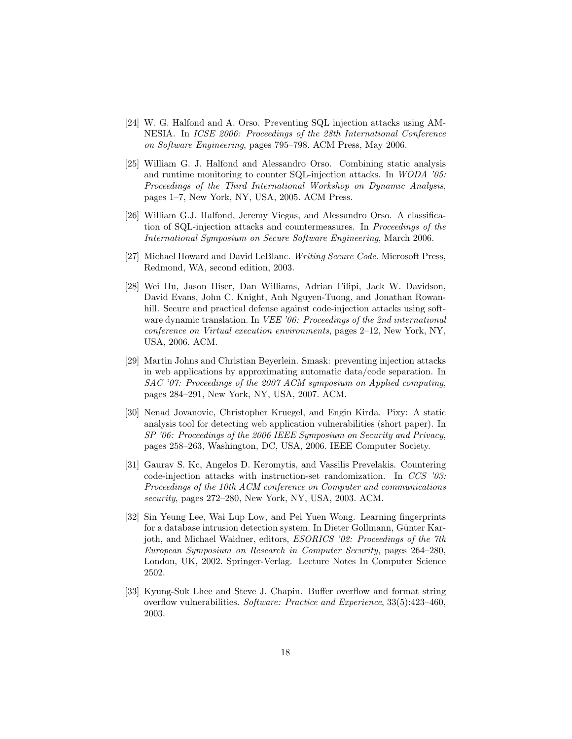- [24] W. G. Halfond and A. Orso. Preventing SQL injection attacks using AM-NESIA. In ICSE 2006: Proceedings of the 28th International Conference on Software Engineering, pages 795–798. ACM Press, May 2006.
- [25] William G. J. Halfond and Alessandro Orso. Combining static analysis and runtime monitoring to counter SQL-injection attacks. In  $WODA$  '05: Proceedings of the Third International Workshop on Dynamic Analysis, pages 1–7, New York, NY, USA, 2005. ACM Press.
- [26] William G.J. Halfond, Jeremy Viegas, and Alessandro Orso. A classification of SQL-injection attacks and countermeasures. In Proceedings of the International Symposium on Secure Software Engineering, March 2006.
- [27] Michael Howard and David LeBlanc. Writing Secure Code. Microsoft Press, Redmond, WA, second edition, 2003.
- [28] Wei Hu, Jason Hiser, Dan Williams, Adrian Filipi, Jack W. Davidson, David Evans, John C. Knight, Anh Nguyen-Tuong, and Jonathan Rowanhill. Secure and practical defense against code-injection attacks using software dynamic translation. In *VEE '06: Proceedings of the 2nd international* conference on Virtual execution environments, pages 2–12, New York, NY, USA, 2006. ACM.
- [29] Martin Johns and Christian Beyerlein. Smask: preventing injection attacks in web applications by approximating automatic data/code separation. In SAC '07: Proceedings of the 2007 ACM symposium on Applied computing, pages 284–291, New York, NY, USA, 2007. ACM.
- [30] Nenad Jovanovic, Christopher Kruegel, and Engin Kirda. Pixy: A static analysis tool for detecting web application vulnerabilities (short paper). In SP '06: Proceedings of the 2006 IEEE Symposium on Security and Privacy, pages 258–263, Washington, DC, USA, 2006. IEEE Computer Society.
- [31] Gaurav S. Kc, Angelos D. Keromytis, and Vassilis Prevelakis. Countering code-injection attacks with instruction-set randomization. In CCS '03: Proceedings of the 10th ACM conference on Computer and communications security, pages 272–280, New York, NY, USA, 2003. ACM.
- [32] Sin Yeung Lee, Wai Lup Low, and Pei Yuen Wong. Learning fingerprints for a database intrusion detection system. In Dieter Gollmann, Günter Karjoth, and Michael Waidner, editors, *ESORICS* '02: Proceedings of the 7th European Symposium on Research in Computer Security, pages 264–280, London, UK, 2002. Springer-Verlag. Lecture Notes In Computer Science 2502.
- [33] Kyung-Suk Lhee and Steve J. Chapin. Buffer overflow and format string overflow vulnerabilities. Software: Practice and Experience, 33(5):423–460, 2003.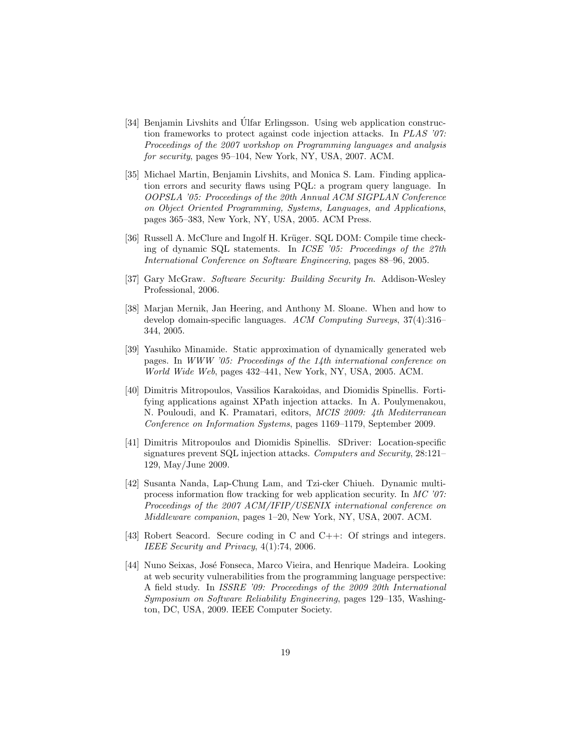- [34] Benjamin Livshits and Úlfar Erlingsson. Using web application construction frameworks to protect against code injection attacks. In PLAS '07: Proceedings of the 2007 workshop on Programming languages and analysis for security, pages 95–104, New York, NY, USA, 2007. ACM.
- [35] Michael Martin, Benjamin Livshits, and Monica S. Lam. Finding application errors and security flaws using PQL: a program query language. In OOPSLA '05: Proceedings of the 20th Annual ACM SIGPLAN Conference on Object Oriented Programming, Systems, Languages, and Applications, pages 365–383, New York, NY, USA, 2005. ACM Press.
- [36] Russell A. McClure and Ingolf H. Krüger. SQL DOM: Compile time checking of dynamic SQL statements. In ICSE '05: Proceedings of the 27th International Conference on Software Engineering, pages 88–96, 2005.
- [37] Gary McGraw. Software Security: Building Security In. Addison-Wesley Professional, 2006.
- [38] Marjan Mernik, Jan Heering, and Anthony M. Sloane. When and how to develop domain-specific languages. ACM Computing Surveys, 37(4):316– 344, 2005.
- [39] Yasuhiko Minamide. Static approximation of dynamically generated web pages. In WWW '05: Proceedings of the 14th international conference on World Wide Web, pages 432–441, New York, NY, USA, 2005. ACM.
- [40] Dimitris Mitropoulos, Vassilios Karakoidas, and Diomidis Spinellis. Fortifying applications against XPath injection attacks. In A. Poulymenakou, N. Pouloudi, and K. Pramatari, editors, MCIS 2009: 4th Mediterranean Conference on Information Systems, pages 1169–1179, September 2009.
- [41] Dimitris Mitropoulos and Diomidis Spinellis. SDriver: Location-specific signatures prevent SQL injection attacks. Computers and Security, 28:121– 129, May/June 2009.
- [42] Susanta Nanda, Lap-Chung Lam, and Tzi-cker Chiueh. Dynamic multiprocess information flow tracking for web application security. In  $MC$  '07: Proceedings of the 2007 ACM/IFIP/USENIX international conference on Middleware companion, pages 1–20, New York, NY, USA, 2007. ACM.
- [43] Robert Seacord. Secure coding in C and C++: Of strings and integers. IEEE Security and Privacy, 4(1):74, 2006.
- [44] Nuno Seixas, José Fonseca, Marco Vieira, and Henrique Madeira. Looking at web security vulnerabilities from the programming language perspective: A field study. In ISSRE '09: Proceedings of the 2009 20th International Symposium on Software Reliability Engineering, pages 129–135, Washington, DC, USA, 2009. IEEE Computer Society.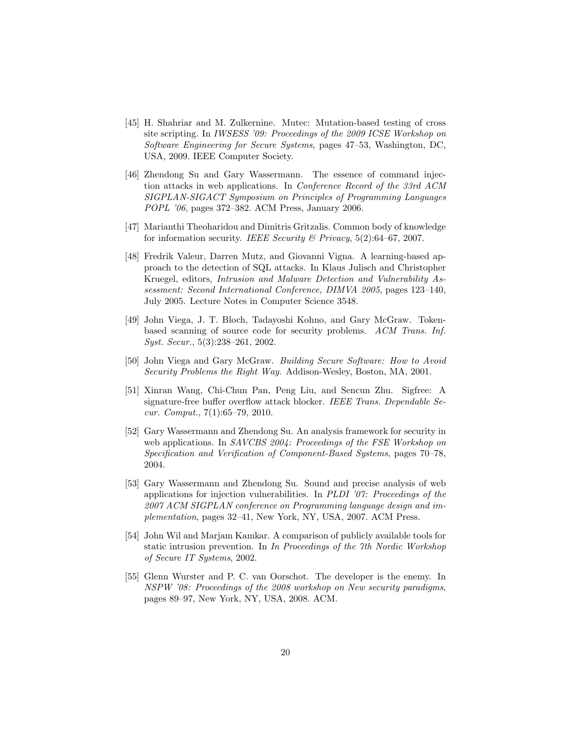- [45] H. Shahriar and M. Zulkernine. Mutec: Mutation-based testing of cross site scripting. In IWSESS '09: Proceedings of the 2009 ICSE Workshop on Software Engineering for Secure Systems, pages 47–53, Washington, DC, USA, 2009. IEEE Computer Society.
- [46] Zhendong Su and Gary Wassermann. The essence of command injection attacks in web applications. In Conference Record of the 33rd ACM SIGPLAN-SIGACT Symposium on Principles of Programming Languages POPL '06, pages 372–382. ACM Press, January 2006.
- [47] Marianthi Theoharidou and Dimitris Gritzalis. Common body of knowledge for information security. IEEE Security & Privacy,  $5(2)$ :64–67, 2007.
- [48] Fredrik Valeur, Darren Mutz, and Giovanni Vigna. A learning-based approach to the detection of SQL attacks. In Klaus Julisch and Christopher Kruegel, editors, Intrusion and Malware Detection and Vulnerability Assessment: Second International Conference, DIMVA 2005, pages 123–140, July 2005. Lecture Notes in Computer Science 3548.
- [49] John Viega, J. T. Bloch, Tadayoshi Kohno, and Gary McGraw. Tokenbased scanning of source code for security problems. ACM Trans. Inf. Syst. Secur., 5(3):238–261, 2002.
- [50] John Viega and Gary McGraw. Building Secure Software: How to Avoid Security Problems the Right Way. Addison-Wesley, Boston, MA, 2001.
- [51] Xinran Wang, Chi-Chun Pan, Peng Liu, and Sencun Zhu. Sigfree: A signature-free buffer overflow attack blocker. IEEE Trans. Dependable Secur. Comput., 7(1):65–79, 2010.
- [52] Gary Wassermann and Zhendong Su. An analysis framework for security in web applications. In SAVCBS 2004: Proceedings of the FSE Workshop on Specification and Verification of Component-Based Systems, pages 70–78, 2004.
- [53] Gary Wassermann and Zhendong Su. Sound and precise analysis of web applications for injection vulnerabilities. In PLDI '07: Proceedings of the 2007 ACM SIGPLAN conference on Programming language design and implementation, pages 32–41, New York, NY, USA, 2007. ACM Press.
- [54] John Wil and Marjam Kamkar. A comparison of publicly available tools for static intrusion prevention. In In Proceedings of the 7th Nordic Workshop of Secure IT Systems, 2002.
- [55] Glenn Wurster and P. C. van Oorschot. The developer is the enemy. In NSPW '08: Proceedings of the 2008 workshop on New security paradigms, pages 89–97, New York, NY, USA, 2008. ACM.